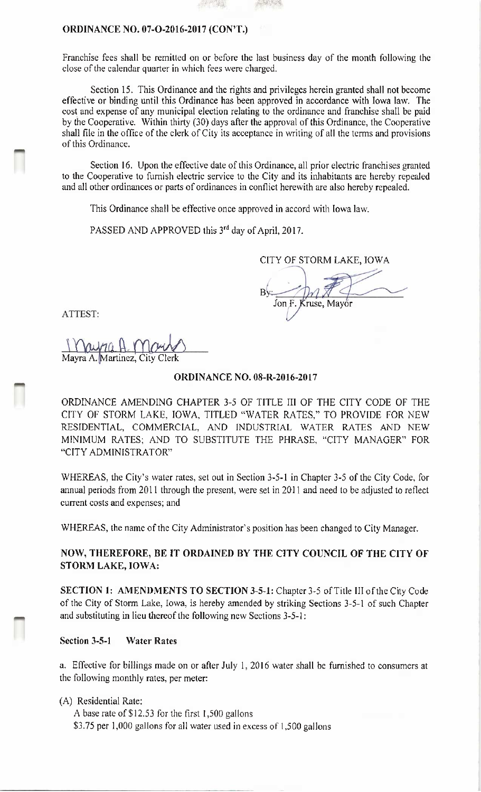### ORDINANCE NO. 07-O-2016-2017 (CON'T.)

Franchise fees shall be remitted on or before the last business day of the month following the close of the calendar quarter in which fees were charged.

Section 15. This Ordinance and the rights and privileges herein granted shall not become effective or binding until this Ordinance has been approved in accordance with Iowa law. The cost and expense of any municipal election relating to the ordinance and franchise shall be paid by the Cooperative. Within thirty (30) days after the approval of this Ordinance, the Cooperative shall file in the office of the clerk of City its acceptance in writing of all the terms and provisions of this Ordinance.

Section 16. Upon the effective date of this Ordinance, all prior electric franchises granted to the Cooperative to furnish electric service to the City and its inhabitants are hereby repealed and all other ordinances or parts of ordinances in conflict herewith are also hereby repealed.

This Ordinance shall be effective once approved in accord with Iowa law.

PASSED AND APPROVED this 3<sup>rd</sup> day of April, 2017.

CITY OF STORM LAKE, IOWA

 $By = DM$ Jon F. Kruse, Mayor

ATTEST:

IMO

Mayra H. Mour Mayra A. <mark>Martinez, City Clerk</mark>

#### ORDINANCE NO. 08-R-2016-2017

ORDINANCE AMENDING CHAPTER 3-5 OF TITLE III OF THE CITY CODE OF THE CITY OF STORM LAKE, IOWA, TITLED " WATER RATES," TO PROVIDE FOR NEW RESIDENTIAL, COMMERCIAL, AND INDUSTRIAL WATER RATES AND NEW MINIMUM RATES; AND TO SUBSTITUTE THE PHRASE, "CITY MANAGER" FOR CITY ADMINISTRATOR"

WHEREAS, the City's water rates, set out in Section 3-5-1 in Chapter 3-5 of the City Code, for annual periods from 2011 through the present, were set in 2011 and need to be adjusted to reflect current costs and expenses; and

WHEREAS, the name of the City Administrator's position has been changed to City Manager.

# NOW, THEREFORE, BE IT ORDAINED BY THE CITY COUNCIL OF THE CITY OF STORM LAKE, IOWA:

SECTION 1: AMENDMENTS TO SECTION 3-5-1: Chapter 3-5 of Title III of the City Code of the City of Storm Lake, Iowa, is hereby amended by striking Sections 3-5-1 of such Chapter and substituting in lieu thereof the following new Sections 3-5-1:

### Section 3-5-1 Water Rates

a. Effective for billings made on or after July 1, 2016 water shall be furnished to consumers at the following monthly rates, per meter:

A) Residential Rate:

A base rate of \$12.53 for the first 1,500 gallons

\$3.75 per 1,000 gallons for all water used in excess of 1,500 gallons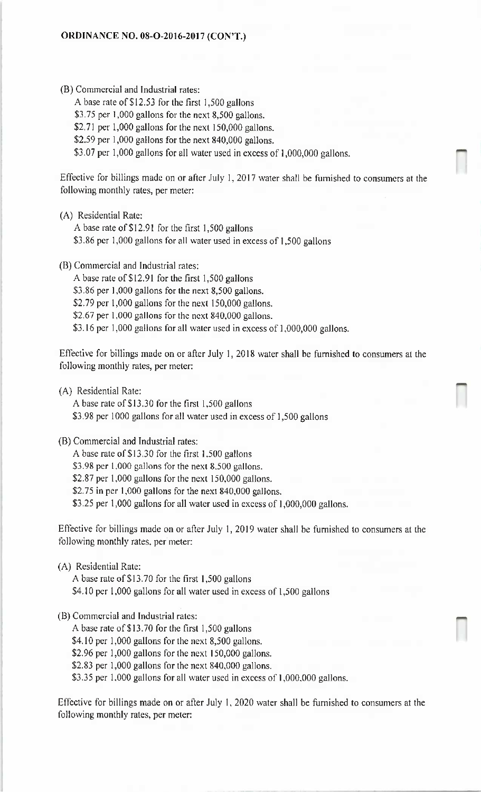B) Commercial and Industrial rates:

A base rate of \$12.53 for the first 1,500 gallons \$3.75 per 1,000 gallons for the next 8,500 gallons. \$2.71 per 1,000 gallons for the next 150,000 gallons. \$2.59 per 1,000 gallons for the next 840,000 gallons. \$3.07 per 1,000 gallons for all water used in excess of 1,000,000 gallons.

Effective for billings made on or after July 1, 2017 water shall be furnished to consumers at the following monthly rates, per meter:

A) Residential Rate:

A base rate of \$12.91 for the first 1,500 gallons

\$3.86 per 1,000 gallons for all water used in excess of 1,500 gallons

B) Commercial and Industrial rates:

A base rate of \$12.91 for the first 1,500 gallons \$3.86 per 1,000 gallons for the next 8,500 gallons. \$2.79 per  $1,000$  gallons for the next  $150,000$  gallons. \$2.67 per 1,000 gallons for the next 840,000 gallons. \$3.16 per 1,000 gallons for all water used in excess of 1,000,000 gallons.

Effective for billings made on or after July 1, 2018 water shall be furnished to consumers at the following monthly rates, per meter:

A) Residential Rate:

A base rate of \$13.30 for the first 1,500 gallons

\$3.98 per 1000 gallons for all water used in excess of 1,500 gallons

B) Commercial and Industrial rates:

A base rate of \$13.30 for the first 1,500 gallons

\$3.98 per 1,000 gallons for the next 8,500 gallons.

\$2.87 per 1,000 gallons for the next 150,000 gallons.

\$2.75 in per 1,000 gallons for the next 840,000 gallons.

3. 25 per 1, 000 gallons for all water used in excess of 1, 000, 000 gallons.

Effective for billings made on or after July 1, 2019 water shall be furnished to consumers at the following monthly rates, per meter:

A) Residential Rate:

A base rate of \$13.70 for the first 1,500 gallons

\$4.10 per 1,000 gallons for all water used in excess of 1,500 gallons

B) Commercial and Industrial rates:

A base rate of \$13.70 for the first 1,500 gallons

 $$4.10$  per 1,000 gallons for the next 8,500 gallons.

\$2.96 per 1,000 gallons for the next 150,000 gallons.

\$2.83 per 1,000 gallons for the next  $840,000$  gallons.

\$3.35 per 1,000 gallons for all water used in excess of 1,000,000 gallons.

Effective for billings made on or after July 1, 2020 water shall be furnished to consumers at the following monthly rates, per meter: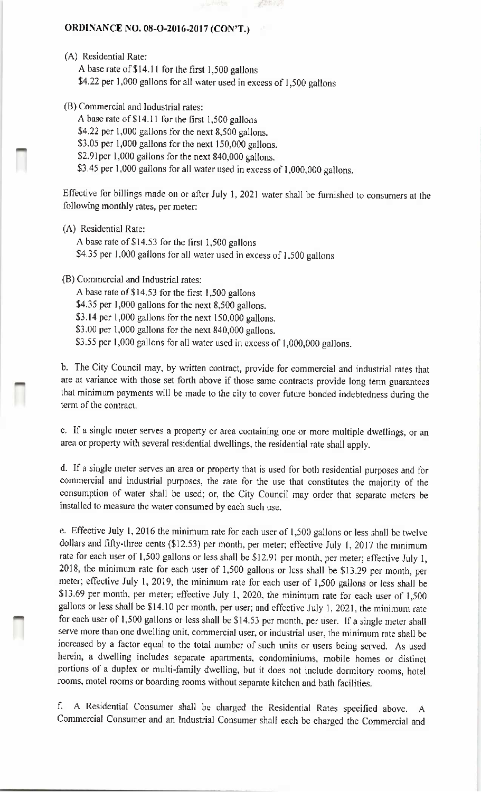## ORDINANCE NO. 08-O-2016-2017 (CON'T.)

- A) Residential Rate: A base rate of \$14.11 for the first 1,500 gallons \$4.22 per 1,000 gallons for all water used in excess of 1,500 gallons
- B) Commercial and Industrial rates:
	- A base rate of\$ 14. <sup>11</sup> for the first 1, 500 gallons
	- \$4.22 per 1,000 gallons for the next  $8,500$  gallons.
	- \$3.05 per 1,000 gallons for the next 150,000 gallons.
	- \$2.91per 1,000 gallons for the next 840,000 gallons.
	- \$3.45 per 1,000 gallons for all water used in excess of 1,000,000 gallons.

Effective for billings made on or after July 1, 2021 water shall be furnished to consumers at the following monthly rates, per meter:

- A) Residential Rate:
	- A base rate of \$14.53 for the first 1,500 gallons \$4.35 per 1,000 gallons for all water used in excess of 1,500 gallons
- B) Commercial and Industrial rates:
	- A base rate of \$14.53 for the first 1,500 gallons
	- \$4.35 per 1,000 gallons for the next 8,500 gallons.
	- \$3.14 per 1,000 gallons for the next 150,000 gallons.
	- \$3.00 per 1,000 gallons for the next 840,000 gallons.
	- \$3.55 per 1,000 gallons for all water used in excess of 1,000,000 gallons.

b. The City Council may, by written contract, provide for commercial and industrial rates that are at variance with those set forth above if those same contracts provide long term guarantees that minimum payments will be made to the city to cover future bonded indebtedness during the term of the contract.

c. If a single meter serves a property or area containing one or more multiple dwellings, or an area or property with several residential dwellings, the residential rate shall apply.

d. If a single meter serves an area or property that is used for both residential purposes and for commercial and industrial purposes, the rate for the use that constitutes the majority of the consumption of water shall be used; or, the City Council may order that separate meters be installed to measure the water consumed by each such use.

e. Effective July 1, 2016 the minimum rate for each user of 1, 500 gallons or less shall be twelve dollars and fifty-three cents (\$12.53) per month, per meter; effective July 1, 2017 the minimum rate for each user of 1,500 gallons or less shall be \$12.91 per month, per meter; effective July 1, 2018, the minimum rate for each user of 1,500 gallons or less shall be \$13.29 per month, per meter; effective July 1, 2019, the minimum rate for each user of 1, 500 gallons or less shall be 13. 69 per month, per meter; effective July 1, 2020, the minimum rate for each user of 1, 500 gallons or less shall be \$14.10 per month, per user; and effective July 1, 2021, the minimum rate for each user of 1,500 gallons or less shall be \$14.53 per month, per user. If a single meter shall serve more than one dwelling unit, commercial user, or industrial user, the minimum rate shall be increased by a factor equal to the total number of such units or users being served. As used herein, a dwelling includes separate apartments, condominiums, mobile homes or distinct portions of a duplex or multi-family dwelling, but it does not include dormitory rooms, hotel rooms, motel rooms or boarding rooms without separate kitchen and bath facilities.

f. A Residential Consumer shall be charged the Residential Rates specified above. A Commercial Consumer and an Industrial Consumer shall each be charged the Commercial and